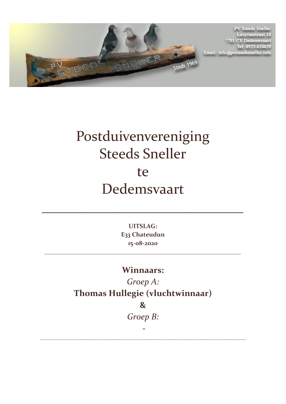

**PV Steeds Sneller** Latyrusstraat 16<br>7701 CX Dedemsvaart Tel: 0523-610629 Email: info@pvsteedssneller.info

## Postduivenvereniging Steeds Sneller te Dedemsvaart

**UITSLAG: E33 Chateudun 15-08-2020**

\_\_\_\_\_\_\_\_\_\_\_\_\_\_\_\_\_\_\_\_\_\_\_\_\_\_\_\_\_\_\_\_\_\_\_\_\_\_\_\_\_\_\_\_\_\_\_\_\_\_\_\_\_\_\_\_\_\_\_\_\_\_\_

 $\mathcal{L}=\mathcal{L}^{\mathcal{L}}$  , where  $\mathcal{L}=\mathcal{L}^{\mathcal{L}}$  , where  $\mathcal{L}^{\mathcal{L}}$ 

## **Winnaars:**

*Groep A:* **Thomas Hullegie (vluchtwinnaar)** 

**&** 

*Groep B:* 

\_\_\_\_\_\_\_\_\_\_\_\_\_\_\_\_\_\_\_\_\_\_\_\_\_\_\_\_\_\_\_\_\_\_\_\_\_\_\_\_\_\_\_\_\_\_\_\_\_\_\_\_\_\_\_\_\_\_\_\_\_\_\_\_\_\_\_\_\_\_\_\_\_\_\_\_\_\_

**-**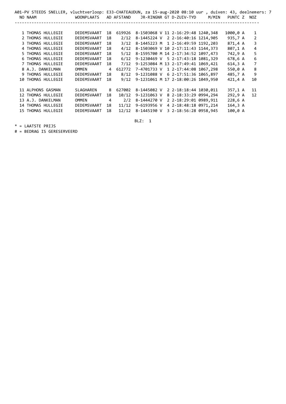| A01-PV STEEDS SNELLER, vluchtverloop: E33-CHATEAUDUN, za 15-aug-2020 08:10 uur , duiven: 43, deelnemers: 7 |              |                |            |                                          |                         |       |             |                |
|------------------------------------------------------------------------------------------------------------|--------------|----------------|------------|------------------------------------------|-------------------------|-------|-------------|----------------|
| NO NAAM                                                                                                    | WOONPLAATS   |                | AD AFSTAND |                                          | JR-RINGNR GT D-ZUIV-TYD | M/MIN | PUNTC Z NOZ |                |
|                                                                                                            |              |                |            |                                          |                         |       |             |                |
|                                                                                                            |              |                |            |                                          |                         |       |             |                |
| 1 THOMAS HULLEGIE                                                                                          | DEDEMSVAART  | 18             | 619926     | 8-1503068 V 11 2-16:29:48 1240,348       |                         |       | 1000,0 A    | 1              |
| 2 THOMAS HULLEGIE                                                                                          | DEDEMSVAART  | 18             | 2/12       | 8-1445224 V 2 2-16:40:16 1214,905        |                         |       | 935,7 A     | $\overline{2}$ |
| 3 THOMAS HULLEGIE                                                                                          | DEDEMSVAART  | 18             | 3/12       | 8-1445223 M 1 2-16:49:59 1192,203        |                         |       | 871,4 A     | 3              |
| 4 THOMAS HULLEGIE                                                                                          | DEDEMSVAART  | 18             | 4/12       | 8-1503069 V 10 2-17:11:43 1144,373       |                         |       | 807,1 A     | 4              |
| 5 THOMAS HULLEGIE                                                                                          | DEDEMSVAART  | 18             | 5/12       | 8-1595700 M 14 2-17:34:52 1097,473       |                         |       | 742,9 A     | 5              |
| 6 THOMAS HULLEGIE                                                                                          | DEDEMSVAART  | 18             | 6/12       | 9-1230469 V 5 2-17:43:18 1081,329        |                         |       | 678,6 A     | 6              |
| 7 THOMAS HULLEGIE                                                                                          | DEDEMSVAART  | 18             | 7/12       | 9-1253084 M 13 2-17:49:41 1069,421       |                         |       | 614,3 A     | 7              |
| 8 A.J. DANKELMAN                                                                                           | <b>OMMEN</b> | $\overline{4}$ |            | 612772 7-4701733 V 1 2-17:44:08 1067,298 |                         |       | 550,0 A     | 8              |
| 9 THOMAS HULLEGIE                                                                                          | DEDEMSVAART  | 18             | 8/12       | 9-1231088 V 6 2-17:51:36 1065,897        |                         |       | 485,7 A     | 9              |
| 10 THOMAS HULLEGIE                                                                                         | DEDEMSVAART  | 18             | 9/12       | 9-1231061 M 17 2-18:00:26 1049,950       |                         |       | 421,4 A     | 10             |
|                                                                                                            |              |                |            |                                          |                         |       |             |                |
| 11 ALPHONS GASMAN                                                                                          | SLAGHAREN    | 8              | 627002     | 8-1445082 V                              | 2 2-18:18:44 1030,011   |       | 357,1 A     | 11             |
| 12 THOMAS HULLEGIE                                                                                         | DEDEMSVAART  | 18             | 10/12      | 9-1231063 V                              | 8 2-18:33:29 0994,294   |       | 292,9 A     | 12             |
| 13 A.J. DANKELMAN                                                                                          | <b>OMMEN</b> | 4              | 2/2        | 8-1444270 V 2 2-18:29:01 0989,911        |                         |       | 228,6 A     |                |
| 14 THOMAS HULLEGIE                                                                                         | DEDEMSVAART  | 18             | 11/12      | 9-6193956 V                              | 4 2-18:48:18 0971,214   |       | $164, 3$ A  |                |
| 15 THOMAS HULLEGIE                                                                                         | DEDEMSVAART  | 18             | 12/12      | 8-1445190 V                              | 3 2-18:56:28 0958,945   |       | 100,0 A     |                |
|                                                                                                            |              |                |            |                                          |                         |       |             |                |

BLZ: 1

\* = LAATSTE PRIJS

# = BEDRAG IS GERESERVEERD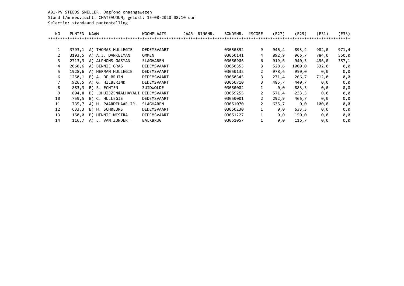A01-PV STEEDS SNELLER, Dagfond onaangewezen Stand t/m wedvlucht: CHATEAUDUN, gelost: 15-08-2020 08:10 uur Selectie: standaard puntentelling

| <b>PUNTEN</b> | <b>NAAM</b>           | <b>WOONPLAATS</b> |  | BONDSNR.      | #SCORE         | (E27) | (E29)  | (E31) | (E33) |
|---------------|-----------------------|-------------------|--|---------------|----------------|-------|--------|-------|-------|
|               |                       |                   |  |               |                |       |        |       |       |
|               |                       |                   |  |               |                |       |        |       |       |
| 3793.1        | A) THOMAS HULLEGIE    | DEDEMSVAART       |  | 03050892      | 9              | 946,4 | 893,2  | 982,0 | 971,4 |
| 3193.5        | A) A.J. DANKELMAN     | OMMEN             |  | 03050141      | 4              | 892,9 | 966,7  | 784,0 | 550,0 |
| 2713,3        | A) ALPHONS GASMAN     | SLAGHAREN         |  | 03050906      | 6              | 919,6 | 940,5  | 496,0 | 357,1 |
| 2060.6        | BENNIE GRAS<br>A)     | DEDEMSVAART       |  | 03050353      | 3              | 528,6 | 1000,0 | 532,0 | 0,0   |
| 1928.6        | A) HERMAN HULLEGIE    | DEDEMSVAART       |  | 03050132      | 2              | 978,6 | 950,0  | 0,0   | 0,0   |
| 1250,1        | B) A. DE BRUIN        | DEDEMSVAART       |  | 03050345      | 3              | 271,4 | 266,7  | 712,0 | 0,0   |
| 926,5         | A) G. HILBERINK       | DEDEMSVAART       |  | 03050710      | 3              | 485,7 | 440,7  | 0,0   | 0,0   |
| 883,3         | B) R. ECHTEN          | ZUIDWOLDE         |  | 03050002      |                | 0.0   | 883,3  | 0,0   | 0,0   |
| 804.8         | B) LOHUIJZEN&ALHAYALI | DEDEMSVAART       |  | 03059255      | $\mathbf{2}$   | 571.4 | 233,3  | 0,0   | 0,0   |
| 759.5         | B) C. HULLEGIE        | DEDEMSVAART       |  | 03050001      | $\overline{2}$ | 292,9 | 466,7  | 0,0   | 0,0   |
| 735,7         | A) H. PAARDEHAAR JR.  | SLAGHAREN         |  | 03051070      | $\mathbf{2}$   | 635,7 | 0,0    | 100,0 | 0,0   |
| 633,3         | B) H. SCHREURS        | DEDEMSVAART       |  | 03050230      |                | 0,0   | 633,3  | 0,0   | 0,0   |
| 150,0         | HENNIE WESTRA<br>B)   | DEDEMSVAART       |  | 03051227      |                | 0,0   | 150,0  | 0,0   | 0,0   |
| 116,7         | J. VAN ZUNDERT<br>A)  | <b>BALKBRUG</b>   |  | 03051057      |                | 0.0   | 116,7  | 0,0   | 0,0   |
|               |                       |                   |  | JAAR- RINGNR. |                |       |        |       |       |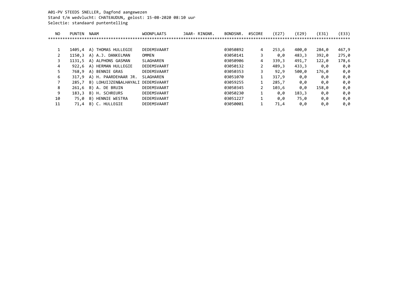A01-PV STEEDS SNELLER, Dagfond aangewezen Stand t/m wedvlucht: CHATEAUDUN, gelost: 15-08-2020 08:10 uur Selectie: standaard puntentelling

| NO | <b>PUNTEN</b> | <b>NAAM</b>             | <b>WOONPLAATS</b> | JAAR- RINGNR. | BONDSNR. | #SCORE | (E27) | (E29) | (E31) | (E33) |
|----|---------------|-------------------------|-------------------|---------------|----------|--------|-------|-------|-------|-------|
|    |               |                         |                   |               |          |        |       |       |       | ****  |
|    |               |                         |                   |               |          |        |       |       |       |       |
| 1  | 1405.4        | A) THOMAS HULLEGIE      | DEDEMSVAART       |               | 03050892 | 4      | 253,6 | 400,0 | 284,0 | 467,9 |
|    | 1150,3        | A) A.J. DANKELMAN       | OMMEN             |               | 03050141 | 3      | 0,0   | 483,3 | 392,0 | 275,0 |
| 3  | 1131.5        | ALPHONS GASMAN<br>A)    | SLAGHAREN         |               | 03050906 | 4      | 339,3 | 491,7 | 122,0 | 178,6 |
| 4  | 922.6         | HERMAN HULLEGIE<br>A)   | DEDEMSVAART       |               | 03050132 |        | 489.3 | 433,3 | 0,0   | 0,0   |
| 5. | 768.9         | BENNIE GRAS<br>A)       | DEDEMSVAART       |               | 03050353 | 3      | 92,9  | 500,0 | 176,0 | 0,0   |
| 6  | 317.9         | H. PAARDEHAAR JR.<br>A) | SLAGHAREN         |               | 03051070 |        | 317.9 | 0.0   | 0,0   | 0,0   |
|    | 285.7         | B) LOHUIJZEN&ALHAYALI   | DEDEMSVAART       |               | 03059255 |        | 285,7 | 0.0   | 0,0   | 0,0   |
| 8  | 261,6         | A. DE BRUIN<br>B)       | DEDEMSVAART       |               | 03050345 | 2      | 103,6 | 0,0   | 158,0 | 0,0   |
| 9  | 183.3         | B)<br>H. SCHREURS       | DEDEMSVAART       |               | 03050230 | 1      | 0,0   | 183,3 | 0,0   | 0,0   |
| 10 | 75.0          | HENNIE WESTRA<br>B)     | DEDEMSVAART       |               | 03051227 | 1      | 0.0   | 75,0  | 0,0   | 0,0   |
| 11 | 71,4          | C. HULLEGIE<br>B)       | DEDEMSVAART       |               | 03050001 | 1      | 71,4  | 0,0   | 0,0   | 0,0   |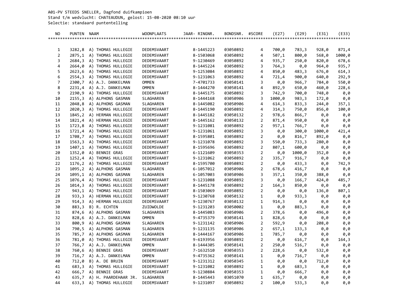A01-PV STEEDS SNELLER, Dagfond duifkampioen Stand t/m wedvlucht: CHATEAUDUN, gelost: 15-08-2020 08:10 uur Selectie: standaard puntentelling

| NO.            | PUNTEN NAAM    |                                           | <b>WOONPLAATS</b>         | JAAR- RINGNR. |                        | BONDSNR.             | #SCORE                         | (E27)          | (E29)          | (E31)      | (E33)        |
|----------------|----------------|-------------------------------------------|---------------------------|---------------|------------------------|----------------------|--------------------------------|----------------|----------------|------------|--------------|
|                |                |                                           |                           |               |                        |                      |                                |                |                |            |              |
|                |                |                                           |                           |               |                        |                      |                                |                |                |            |              |
| 1              | 3282,8         | A) THOMAS HULLEGIE                        | DEDEMSVAART               |               | 8-1445223              | 03050892             | 4                              | 700,0          | 783,3          | 928,0      | 871,4        |
| $\overline{2}$ | 2875,1         | A) THOMAS HULLEGIE                        | DEDEMSVAART               |               | 8-1503068              | 03050892             | 4                              | 507,1          | 800,0          | 568,0      | 1000,0       |
| 3              |                | 2684,3 A) THOMAS HULLEGIE                 | DEDEMSVAART               |               | 9-1230469              | 03050892             | 4                              | 935,7          | 250,0          | 820,0      | 678,6        |
| 4              |                | 2664,0 A) THOMAS HULLEGIE                 | DEDEMSVAART               |               | 8-1445224              | 03050892             | 3                              | 764,3          | 0,0            | 964,0      | 935,7        |
| 5              |                | 2623,6 A) THOMAS HULLEGIE                 | DEDEMSVAART               |               | 9-1253084              | 03050892             | 4                              | 850,0          | 483,3          | 676,0      | 614,3        |
| 6              |                | 2554,3 A) THOMAS HULLEGIE                 | DEDEMSVAART               |               | 9-1231063              | 03050892             | 4                              | 721,4          | 900, 0         | 640,0      | 292,9        |
| $\overline{7}$ |                | 2300,7 A) A.J. DANKELMAN                  | <b>OMMEN</b>              |               | 7-4701733              | 03050141             | 3                              | 0,0            | 966,7          | 784,0      | 550,0        |
| 8              |                | 2231,4 A) A.J. DANKELMAN                  | <b>OMMEN</b>              |               | 8-1444270              | 03050141             | 4                              | 892,9          | 650,0          | 460,0      | 228,6        |
| 9              | 2190,9         | A) THOMAS HULLEGIE                        | DEDEMSVAART               |               | 8-1445175              | 03050892             | 3                              | 742,9          | 700,0          | 748,0      | 0,0          |
| 10             | 2155,3         | A) ALPHONS GASMAN                         | SLAGHAREN                 |               | 8-1444168              | 03050906             | 3                              | 1000,0         | 983,3          | 172,0      | 0,0          |
| 11             | 2048,8         | A) ALPHONS GASMAN                         | SLAGHAREN                 |               | 8-1445082              | 03050906             | 4                              | 614,3          | 833,3          | 244,0      | 357,1        |
| 12             |                | 2020,3 A) THOMAS HULLEGIE                 | DEDEMSVAART               |               | 8-1445190              | 03050892             | 4                              | 314,3          | 750,0          | 856,0      | 100,0        |
| 13             |                | 1845,2 A) HERMAN HULLEGIE                 | DEDEMSVAART               |               | 8-1445182              | 03050132             | $\overline{2}$                 | 978,6          | 866,7          | 0,0        | 0,0          |
| 14             | 1821,4         | A) HERMAN HULLEGIE                        | DEDEMSVAART               |               | 8-1445162              | 03050132             | $\overline{2}$                 | 871,4          | 950,0          | 0,0        | 0,0          |
| 15             |                | 1723,8 A) THOMAS HULLEGIE                 | DEDEMSVAART               |               | 9-1231081              | 03050892             | $\overline{2}$                 | 957,1          | 766,7          | 0,0        | 0,0          |
| 16             |                | 1721,4 A) THOMAS HULLEGIE                 | DEDEMSVAART               |               | 9-1231061              | 03050892             | 3                              | 0,0            | 300,0          | 1000,0     | 421,4        |
| 17             |                | 1708,7 A) THOMAS HULLEGIE                 | DEDEMSVAART               |               | 8-1595801              | 03050892             | $\overline{a}$                 | 0,0            | 816,7          | 892,0      | 0,0          |
| 18             | 1563,3         | A) THOMAS HULLEGIE                        | DEDEMSVAART               |               | 9-1231078              | 03050892             | 3                              | 550,0          | 733,3          | 280,0      | 0,0          |
| 19             | 1407,1         | A) THOMAS HULLEGIE                        | DEDEMSVAART               |               | 8-1595696              | 03050892             | $\overline{a}$                 | 807,1          | 600,0          | 0,0        | 0,0          |
| 20             |                | 1352,0 A) BENNIE GRAS                     | DEDEMSVAART               |               | 6-1121609              | 03050353             | $\overline{2}$                 | 0,0            | 1000,0         | 352,0      | 0,0          |
| 21             |                | 1252,4 A) THOMAS HULLEGIE                 | DEDEMSVAART               |               | 9-1231062              | 03050892             | $\overline{a}$                 | 335,7          | 916,7          | 0,0        | 0,0          |
| 22             |                | 1176,2 A) THOMAS HULLEGIE                 | DEDEMSVAART               |               | 8-1595700              | 03050892             | 2                              | 0,0            | 433,3          | 0,0        | 742,9        |
| 23             |                | 1095,2 A) ALPHONS GASMAN                  | SLAGHAREN                 |               | 6-1057012              | 03050906             | $\overline{2}$                 | 678,6          | 416,7          | 0,0        | 0,0          |
| 24             |                | 1095,1 A) ALPHONS GASMAN                  | SLAGHAREN                 |               | 6-1057003              | 03050906             | 3                              | 357,1          | 350,0          | 388,0      | 0,0          |
| 25             |                | 1076,4 A) THOMAS HULLEGIE                 | DEDEMSVAART               |               | 9-1231088              | 03050892             | 3                              | 0,0            | 166,7          | 424,0      | 485,7        |
| 26             | 1014,3         | A) THOMAS HULLEGIE                        | DEDEMSVAART               |               | 8-1445178              | 03050892             | $\overline{a}$                 | 164,3          | 850,0          | 0,0        | 0,0          |
| 27             | 943,1          | A) THOMAS HULLEGIE                        | DEDEMSVAART               |               | 8-1503069              | 03050892             | $\overline{a}$                 | 0,0            | 0,0            | 136,0      | 807,1        |
| 28             | 933,3          | A) HERMAN HULLEGIE                        | DEDEMSVAART               |               | 9-1230768              | 03050132             | $\mathbf{1}$                   | 0,0            | 933,3          | 0,0        | 0,0          |
| 29             | 914,3          | A) HERMAN HULLEGIE                        | DEDEMSVAART               |               | 9-1230767              | 03050132             | $\mathbf{1}$                   | 914,3          | 0,0            | 0,0        | 0,0          |
| 30             | 883,3          | B) R. ECHTEN                              | ZUIDWOLDE                 |               | 9-1231203              | 03050002             | $\mathbf{1}$                   | 0,0            | 883,3          | 0,0        | 0,0          |
| 31             | 874,6          | A) ALPHONS GASMAN                         | SLAGHAREN<br><b>OMMEN</b> |               | 8-1445083              | 03050906             | $\overline{2}$                 | 378,6          | 0,0            | 496,0      | 0,0          |
| 32             | 828,6          | A) A.J. DANKELMAN                         |                           |               | 9-4735379              | 03050141             | $\mathbf{1}$                   | 828,6          | 0,0            | 0,0        | 0,0          |
| 33             | 800,9          | A) ALPHONS GASMAN                         | SLAGHAREN                 |               | 9-1231142<br>9-1231135 | 03050906             | $\overline{a}$                 | 592,9          | 0,0            | 208,0      | 0,0          |
| 34<br>35       | 790,5<br>785,7 | A) ALPHONS GASMAN<br>A) ALPHONS GASMAN    | SLAGHAREN<br>SLAGHAREN    |               | 8-1444167              | 03050906<br>03050906 | $\overline{2}$<br>$\mathbf{1}$ | 657,1<br>785,7 | 133,3          | 0,0        | 0,0          |
| 36             | 781,0          | A) THOMAS HULLEGIE                        | DEDEMSVAART               |               | 9-6193956              | 03050892             | $\overline{2}$                 |                | 0,0            | 0,0        | 0,0<br>164,3 |
| 37             |                | 766,7 A) A.J. DANKELMAN                   | <b>OMMEN</b>              |               | 8-1444305              | 03050141             | $\overline{2}$                 | 0,0<br>250,0   | 616,7<br>516,7 | 0,0<br>0,0 | 0,0          |
|                |                |                                           |                           |               |                        |                      |                                |                |                |            |              |
| 38             |                | 760,6 A) BENNIE GRAS                      | DEDEMSVAART               |               | 7-1632510<br>9-4735362 | 03050353             | 2                              | 228,6          | 0,0            | 532,0      | 0,0          |
| 39<br>40       | 712,0          | 716,7 A) A.J. DANKELMAN<br>B) A. DE BRUIN | <b>OMMEN</b>              |               |                        | 03050141             | 1                              | 0,0            | 716,7          | 0,0        | 0,0          |
|                |                | 683,3 A) THOMAS HULLEGIE                  | DEDEMSVAART               |               | 9-1231312<br>9-1231082 | 03050345             | 1                              | 0,0            | 0,0            | 712,0      | 0,0          |
| 41             |                | 666,7 A) BENNIE GRAS                      | DEDEMSVAART               |               |                        | 03050892             | 1                              | 0,0            | 683,3          | 0,0        | 0,0          |
| 42<br>43       |                | 635,7 A) H. PAARDEHAAR JR.                | DEDEMSVAART<br>SLAGHAREN  |               | 9-1230884<br>8-1445443 | 03050353<br>03051070 | 1<br>$\mathbf{1}$              | 0,0<br>635,7   | 666,7          | 0,0        | 0,0<br>0,0   |
| 44             |                | 633,3 A) THOMAS HULLEGIE                  | DEDEMSVAART               |               | 9-1231097              | 03050892             | 2                              | 100,0          | 0,0<br>533,3   | 0,0<br>0,0 | 0,0          |
|                |                |                                           |                           |               |                        |                      |                                |                |                |            |              |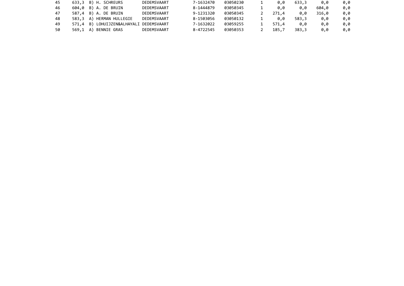| 45 | 633,3 B) H. SCHREURS                    | DEDEMSVAART | 7-1632470 | 03050230 | 0.0   | 633.3 | 0.0   | 0.0 |
|----|-----------------------------------------|-------------|-----------|----------|-------|-------|-------|-----|
| 46 | 604,0 B) A. DE BRUIN                    | DEDEMSVAART | 8-1444879 | 03050345 | 0.0   | 0.0   | 604.0 | 0.0 |
| 47 | 587,4 B) A. DE BRUIN                    | DEDEMSVAART | 9-1231320 | 03050345 | 271.4 | 0.0   | 316,0 | 0.0 |
| 48 | 583,3 A) HERMAN HULLEGIE                | DEDEMSVAART | 8-1503056 | 03050132 | 0.0   | 583.3 | 0.0   | 0.0 |
| 49 | 571,4 B) LOHUIJZEN&ALHAYALI DEDEMSVAART |             | 7-1632022 | 03059255 | 571.4 | 0.0   | 0.0   | 0.0 |
| 50 | 569,1 A) BENNIE GRAS                    | DEDEMSVAART | 8-4722545 | 03050353 | 185.7 | 383.3 | 0.0   | 0.0 |
|    |                                         |             |           |          |       |       |       |     |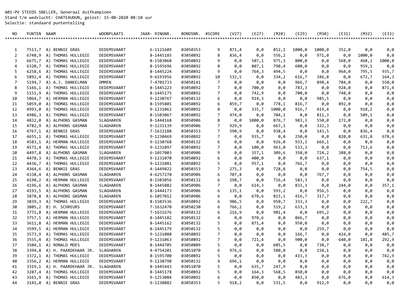A01-PV STEEDS SNELLER, Generaal duifkampioen Stand t/m wedvlucht: CHATEAUDUN, gelost: 15-08-2020 08:10 uur Selectie: standaard puntentelling

| NO.            | PUNTEN NAAM |                                                 | <b>WOONPLAATS</b>          | JAAR- RINGNR.          | BONDSNR.             | #SCORE         | (V27)        | (E27)        | (M28)           | (E29)        | (M30)          | (E31)      | (M32)          | (E33)      |
|----------------|-------------|-------------------------------------------------|----------------------------|------------------------|----------------------|----------------|--------------|--------------|-----------------|--------------|----------------|------------|----------------|------------|
|                |             |                                                 |                            |                        |                      |                |              |              |                 |              |                |            |                |            |
|                |             |                                                 |                            |                        |                      |                |              |              |                 |              |                |            |                |            |
| 1              |             | 7513,7 A) BENNIE GRAS                           | DEDEMSVAART                | 6-1121609              | 03050353             | 9              | 871,4        | 0,0          | 852,1           | 1000,0       | 1000,0         | 352,0      | 0,0            | 0,0        |
| 2              | 6748,9      | A) THOMAS HULLEGIE                              | DEDEMSVAART                | 8-1445185              | 03050892             | 8              | 836,4        | 0,0          | 556,2           | 0,0          | 971,0          | 0,0        | 1000,0         | 0,0        |
| 3              |             | 6675,7 A) THOMAS HULLEGIE                       | DEDEMSVAART                | 8-1503068              | 03050892             | 9              | 0,0          | 507,1        | 975,3           | 800,0        | 0,0            | 568,0      | 468,2          | 1000,0     |
| $\overline{4}$ | 6320,7      | A) THOMAS HULLEGIE                              | DEDEMSVAART                | 8-1595696              | 03050892             | 8              | 0,0          | 807,1        | 790,4           | 600,0        | 0,0            | 0,0        | 959,1          | 0,0        |
| 5              | 6258,6      | A) THOMAS HULLEGIE                              | DEDEMSVAART                | 8-1445224              | 03050892             | 9              | 0,0          | 764,3        | 494,5           | 0,0          | 0,0            | 964,0      | 795,5          | 935,7      |
| 6              |             | 5892,4 A) THOMAS HULLEGIE                       | DEDEMSVAART                | 9-6193956              | 03050892             | 10             | 532,5        | 0,0          | 334,2           | 616,7        | 346,8          | 0,0        | 672,7          | 164,3      |
| 7<br>8         | 5194,7      | A) A.J. DANKELMAN                               | <b>OMMEN</b>               | 7-4701733              | 03050141             | 7              | 0,0          | 0,0          | 0,0             | 966,7        | 898,4          | 784,0      | 0,0            | 550,0      |
| 9              | 5166,1      | A) THOMAS HULLEGIE                              | DEDEMSVAART<br>DEDEMSVAART | 8-1445223<br>8-1445175 | 03050892<br>03050892 | 7              | 0,0          | 700,0        | 0,0             | 783,3        | 0,0            | 928,0      | 0,0            | 871,4      |
|                | 5151,9      | A) THOMAS HULLEGIE                              | DEDEMSVAART                | 9-1230767              |                      | 7<br>6         | 0,0          | 742,9        | 0,0             | 700,0        | 0,0            | 748,0      | 0,0            | 0,0        |
| 10             | 5059,0      | 5064,7 A) HERMAN HULLEGIE<br>A) THOMAS HULLEGIE | DEDEMSVAART                | 8-1595801              | 03050132<br>03050892 | 6              | 0,0          | 914,3        | 0,0             | 0,0          | 985,5          | 0,0        | 0,0            | 0,0        |
| 11<br>12       | 4993,0      | A) THOMAS HULLEGIE                              | DEDEMSVAART                | 9-1231062              | 03050892             | 8              | 859,7        | 0,0          | 778,1           | 816,7        | 0,0            | 892,0      | 0,0            | 0,0        |
| 13             | 4986,3      | A) THOMAS HULLEGIE                              | DEDEMSVAART                | 8-1503067              | 03050892             | 7              | 0,0<br>474,0 | 335,7<br>0,0 | 1000,0<br>704,1 | 916,7<br>0,0 | 419,4<br>811,3 | 0,0<br>0,0 | 918,2<br>509,1 | 0,0<br>0,0 |
| 14             | 4832,0      | A) ALPHONS GASMAN                               | SLAGHAREN                  | 8-1444168              | 03050906             | 8              | 0,0          | 1000,0       | 876,7           |              | 550,0          | 172,0      | 0,0            | 0,0        |
| 15             |             | 4782,9 A) ALPHONS GASMAN                        | SLAGHAREN                  | 9-1231139              | 03050906             | 7              | 929,9        | 0,0          | 667,1           | 983,3<br>0,0 | 332,3          | 0,0        | 0,0            | 0,0        |
| 16             |             | 4767,1 A) BENNIE GRAS                           | DEDEMSVAART                | 7-1632188              | 03050353             | 7              | 590,9        | 0,0          | 938,4           |              | 143,5          | 0,0        | 836,4          | 0,0        |
| 17             |             | 4655,1 A) THOMAS HULLEGIE                       | DEDEMSVAART                | 9-1230469              | 03050892             | 7              | 0,0          | 935,7        | 0,0             | 0,0<br>250,0 | 0,0            | 820,0      | 631,8          | 678,6      |
| 18             |             | 4583,1 A) HERMAN HULLEGIE                       | DEDEMSVAART                | 9-1230768              | 03050132             | 6              | 0,0          | 0,0          | 926,0           | 933,3        | 666,1          | 0,0        | 0,0            | 0,0        |
| 19             |             | 4571,4 A) THOMAS HULLEGIE                       | DEDEMSVAART                | 9-1231097              | 03050892             | 7              | 0,0          | 100,0        | 963,0           | 533,3        | 0,0            | 0,0        | 713,6          | 0,0        |
| 20             | 4497,8      | A) ALPHONS GASMAN                               | SLAGHAREN                  | 6-1057003              | 03050906             | 9              | 0,0          | 357,1        | 309,6           | 350,0        | 724,2          | 388,0      | 0,0            | 0,0        |
| 21             | 4478,3      | A) THOMAS HULLEGIE                              | DEDEMSVAART                | 9-1231070              | 03050892             | 6              | 0,0          | 400,0        | 0,0             | 0,0          | 637,1          | 0,0        | 0,0            | 0,0        |
| 22             | 4436,7      | A) THOMAS HULLEGIE                              | DEDEMSVAART                | 9-1231081              | 03050892             | 5              | 0,0          | 957,1        | 0,0             | 766,7        | 0,0            | 0,0        | 0,0            | 0,0        |
| 23             | 4364,6      | A) BENNIE GRAS                                  | DEDEMSVAART                | 4-1449822              | 03050353             | 7              | 275,3        | 0,0          | 728,8           | 0,0          | 0,0            | 0,0        | 754,5          | 0,0        |
| 24             |             | 4338,4 A) ALPHONS GASMAN                        | SLAGHAREN                  | 4-6257270              | 03050906             | 6              | 707,8        | 0,0          | 0,0             | 0,0          | 767,7          | 0,0        | 0,0            | 0,0        |
| 25             |             | 4198,2 A) HERMAN HULLEGIE                       | DEDEMSVAART                | 8-1503056              | 03050132             | 6              | 298,7        | 0,0          | 716,4           | 583,3        | 0,0            | 0,0        | 0,0            | 0,0        |
| 26             | 4196,6      | A) ALPHONS GASMAN                               | SLAGHAREN                  | 8-1445082              | 03050906             | 7              | 0,0          | 614,3        | 0,0             | 833,3        | 0,0            | 244,0      | 0,0            | 357,1      |
| 27             |             | 4193,5 A) ALPHONS GASMAN                        | SLAGHAREN                  | 8-1444173              | 03050906             | 6              | 135,1        | 0,0          | 593,2           | 0,0          | 956,5          | 0,0        | 0,0            | 0,0        |
| 28             | 3878,8      | A) ALPHONS GASMAN                               | SLAGHAREN                  | 6-1057012              | 03050906             | 6              | 0,0          | 678,6        | 815,1           | 416,7        | 317,7          | 0,0        | 0,0            | 0,0        |
| 29             | 3839,3      | A) THOMAS HULLEGIE                              | DEDEMSVAART                | 8-1503536              | 03050892             | 6              | 906,5        | 0,0          | 950,7           | 333,3        | 0,0            | 0,0        | 222,7          | 0,0        |
| 30             | 3805,2      | B) H. SCHREURS                                  | DEDEMSVAART                | 7-1632470              | 03050230             | 6              | 766,2        | 0,0          | 519,2           | 633,3        | 0,0            | 0,0        | 0,0            | 0,0        |
| 31             | 3771,8      | A) HERMAN HULLEGIE                              | DEDEMSVAART                | 7-1631676              | 03050132             | 6              | 216,9        | 0,0          | 901,4           | 0,0          | 695,2          | 0,0        | 0,0            | 0,0        |
| 32             | 3757,5      | A) HERMAN HULLEGIE                              | DEDEMSVAART                | 8-1445182              | 03050132             | 4              | 0,0          | 978,6        | 0,0             | 866,7        | 0,0            | 0,0        | 0,0            | 0,0        |
| 33             | 3611,8      | A) HERMAN HULLEGIE                              | DEDEMSVAART                | 8-1445162              | 03050132             | 5              | 0,0          | 871,4        | 0,0             | 950,0        | 0,0            | 0,0        | 0,0            | 0,0        |
| 34             | 3599,5      | A) HERMAN HULLEGIE                              | DEDEMSVAART                | 8-1445179              | 03050132             | 5              | 0,0          | 0,0          | 0,0             | 0,0          | 259,7          | 0,0        | 0,0            | 0,0        |
| 35             | 3573,9      | A) THOMAS HULLEGIE                              | DEDEMSVAART                | 9-1231088              | 03050892             | 7              | 0,0          | 0,0          | 0,0             | 166,7        | 0,0            | 424,0      | 0,0            | 485,7      |
| 36             |             | 3555,4 A) THOMAS HULLEGIE                       | DEDEMSVAART                | 9-1231063              | 03050892             | $\overline{7}$ | 0,0          | 721,4        | 0,0             | 900,0        | 0,0            | 640,0      | 181,8          | 292,9      |
| 37             |             | 3504,1 A) RONALD MOES                           | DEDEMSVAART                | 8-1444705              | 03050809             | 5.             | 0.0          | 0.0          | 605,5           | 0.0          | 738,7          | 0.0        | 0.0            | 0.0        |
| 38             |             | 3394,8 A) H. PAARDEHAAR JR.                     | SLAGHAREN                  | 4-4754201              | 03051070             | 6              | 976,6        | 0,0          | 580,8           | 0,0          | 158,1          | 0,0        | 0,0            | 0,0        |
| 39             |             | 3372,1 A) THOMAS HULLEGIE                       | DEDEMSVAART                | 8-1595700              | 03050892             | 5              | 0,0          | 0,0          | 0,0             | 433,3        | 0,0            | 0,0        | 0,0            | 742,9      |
| 40             |             | 3356,2 A) HERMAN HULLEGIE                       | DEDEMSVAART                | 9-1230798              | 03050132             | 4              | 696,1        | 0,0          | 0,0             | 0,0          | 0,0            | 0,0        | 0,0            | 0,0        |
| 41             |             | 3319,1 A) H. PAARDEHAAR JR.                     | SLAGHAREN                  | 8-1445443              | 03051070             | 5              | 0,0          | 635,7        | 247,9           | 0,0          | 0,0            | 0,0        | 0,0            | 0,0        |
| 42             |             | 3287,4 A) THOMAS HULLEGIE                       | DEDEMSVAART                | 8-1445178              | 03050892             | 5              | 0,0          | 164,3        | 568,5           | 850,0        | 0,0            | 0,0        | 0,0            | 0,0        |
| 43             |             | 3161,9 A) THOMAS HULLEGIE                       | DEDEMSVAART                | 9-1253084              | 03050892             | 6              | 0,0          | 850,0        | 0,0             | 483,3        | 0,0            | 676,0      | 0,0            | 614,3      |
| 44             |             | 3141,0 A) BENNIE GRAS                           | DEDEMSVAART                | 9-1230882              | 03050353             | 5              | 918,2        | 0,0          | 531,5           | 0,0          | 912,9          | 0,0        | 0,0            | 0,0        |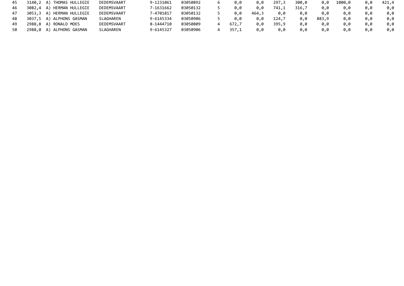| 45 | 3140,2 A) THOMAS HULLEGIE | DEDEMSVAART | 9-1231061 | 03050892 | 0.0   | 0.0   | 297,3 | 300,0 | 0.0   | 1000.0 |     | 421.4 |
|----|---------------------------|-------------|-----------|----------|-------|-------|-------|-------|-------|--------|-----|-------|
| 46 | 3082,4 A) HERMAN HULLEGIE | DEDEMSVAART | 7-1631662 | 03050132 | 0.0   | 0.0   | 741,1 | 316,7 | 0.0   | 0.0    |     | 0.0   |
| 47 | 3053,3 A) HERMAN HULLEGIE | DEDEMSVAART | 7-4701817 | 03050132 | 0.0   | 464,3 | 0.0   | 0.0   | 0.0   | 0.0    |     | 0.0   |
| 48 | 3037,5 A) ALPHONS GASMAN  | SLAGHAREN   | 9-6145334 | 03050906 | 0.0   | 0.0   | 124.7 | 0.0   | 883,9 | 0.0    | 0.0 | 0.0   |
|    | 2988,8 A) RONALD MOES     | DEDEMSVAART | 8-1444710 | 03050809 | 672.7 | 0.0   | 395,9 | 0.0   | 0.0   | 0.0    |     | 0.0   |
|    | 2988,0 A) ALPHONS GASMAN  | SLAGHAREN   | 9-6145327 | 03050906 | 357.1 | 0.0   | 0,0   | 0.0   | 0.0   | 0.0    |     | 0.0   |